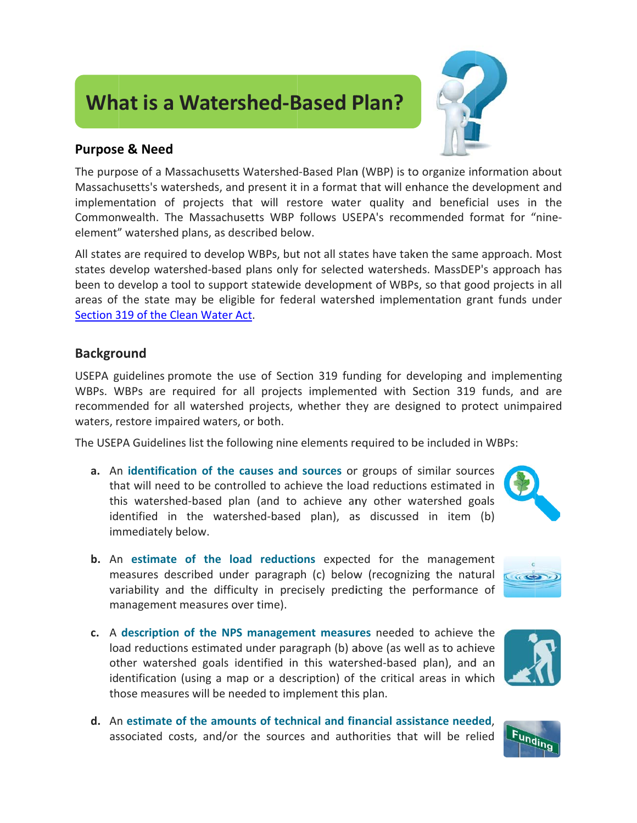## **What is a Watershed-Based Plan?**

## **Purpose & Need**

The purpose of a Massachusetts Watershed-Based Plan (WBP) is to organize information about Massachusetts's watersheds, and present it in a format that will enhance the development and implementation of projects that will restore water quality and beneficial uses in the Commonwealth. The Massachusetts WBP follows USEPA's recommended format for "nineelement" watershed plans, as described below.

All states are required to develop WBPs, but not all states have taken the same approach. Most states develop watershed-based plans only for selected watersheds. MassDEP's approach has been to develop a tool to support statewide development of WBPs, so that good projects in all areas of the state may be eligible for federal watershed implementation grant funds under Section 319 of the Clean Water Act.

## **Background**

USEPA guidelines promote the use of Section 319 funding for developing and implementing WBPs. WBPs are required for all projects implemented with Section 319 funds, and are recommended for all watershed projects, whether they are designed to protect unimpaired waters, restore impaired waters, or both.

The USEPA Guidelines list the following nine elements required to be included in WBPs:

- a. An identification of the causes and sources or groups of similar sources that will need to be controlled to achieve the load reductions estimated in this watershed-based plan (and to achieve any other watershed goals identified in the watershed-based plan), as discussed in item (b) immediately below.
- **b.** An estimate of the load reductions expected for the management measures described under paragraph (c) below (recognizing the natural variability and the difficulty in precisely predicting the performance of management measures over time).
- c. A description of the NPS management measures needed to achieve the load reductions estimated under paragraph (b) above (as well as to achieve other watershed goals identified in this watershed-based plan), and an identification (using a map or a description) of the critical areas in which those measures will be needed to implement this plan.
- d. An estimate of the amounts of technical and financial assistance needed. associated costs, and/or the sources and authorities that will be relied